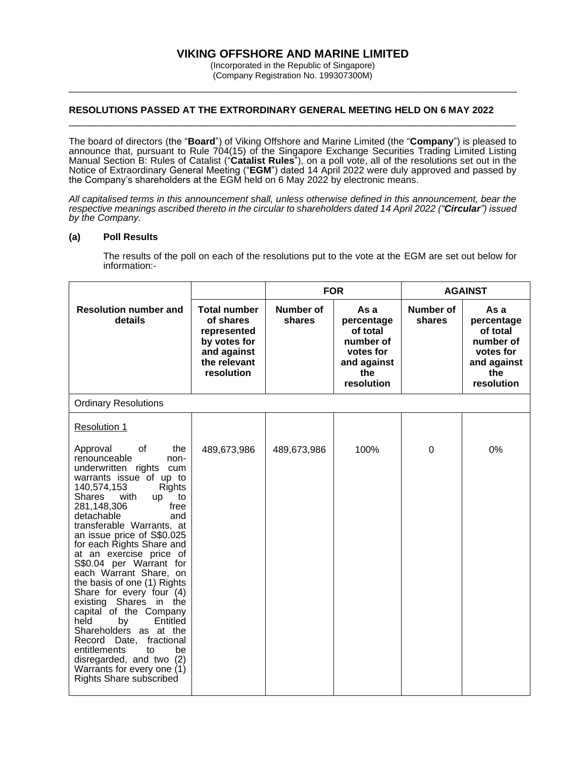# **VIKING OFFSHORE AND MARINE LIMITED**

(Incorporated in the Republic of Singapore) (Company Registration No. 199307300M) \_\_\_\_\_\_\_\_\_\_\_\_\_\_\_\_\_\_\_\_\_\_\_\_\_\_\_\_\_\_\_\_\_\_\_\_\_\_\_\_\_\_\_\_\_\_\_\_\_\_\_\_\_\_\_\_\_\_\_\_\_\_\_\_\_\_\_\_\_\_\_\_\_\_\_\_\_\_

## **RESOLUTIONS PASSED AT THE EXTRORDINARY GENERAL MEETING HELD ON 6 MAY 2022**

The board of directors (the "**Board**") of Viking Offshore and Marine Limited (the "**Company**") is pleased to announce that, pursuant to Rule 704(15) of the Singapore Exchange Securities Trading Limited Listing Manual Section B: Rules of Catalist ("**Catalist Rules**"), on a poll vote, all of the resolutions set out in the Notice of Extraordinary General Meeting ("**EGM**") dated 14 April 2022 were duly approved and passed by the Company's shareholders at the EGM held on 6 May 2022 by electronic means.

\_\_\_\_\_\_\_\_\_\_\_\_\_\_\_\_\_\_\_\_\_\_\_\_\_\_\_\_\_\_\_\_\_\_\_\_\_\_\_\_\_\_\_\_\_\_\_\_\_\_\_\_\_\_\_\_\_\_\_\_\_\_\_\_\_\_\_\_\_\_\_\_\_\_\_\_\_\_\_\_\_\_\_\_

*All capitalised terms in this announcement shall, unless otherwise defined in this announcement, bear the respective meanings ascribed thereto in the circular to shareholders dated 14 April 2022 ("Circular") issued by the Company.*

#### **(a) Poll Results**

The results of the poll on each of the resolutions put to the vote at the EGM are set out below for information:-

|                                                                                                                                                                                                                                                                                                                                                                                                                                                                                                                                                                                                                |                                                                                                              | <b>FOR</b>          |                                                                                              | <b>AGAINST</b>      |                                                                                              |  |  |  |
|----------------------------------------------------------------------------------------------------------------------------------------------------------------------------------------------------------------------------------------------------------------------------------------------------------------------------------------------------------------------------------------------------------------------------------------------------------------------------------------------------------------------------------------------------------------------------------------------------------------|--------------------------------------------------------------------------------------------------------------|---------------------|----------------------------------------------------------------------------------------------|---------------------|----------------------------------------------------------------------------------------------|--|--|--|
| <b>Resolution number and</b><br>details                                                                                                                                                                                                                                                                                                                                                                                                                                                                                                                                                                        | <b>Total number</b><br>of shares<br>represented<br>by votes for<br>and against<br>the relevant<br>resolution | Number of<br>shares | As a<br>percentage<br>of total<br>number of<br>votes for<br>and against<br>the<br>resolution | Number of<br>shares | As a<br>percentage<br>of total<br>number of<br>votes for<br>and against<br>the<br>resolution |  |  |  |
| <b>Ordinary Resolutions</b>                                                                                                                                                                                                                                                                                                                                                                                                                                                                                                                                                                                    |                                                                                                              |                     |                                                                                              |                     |                                                                                              |  |  |  |
| <b>Resolution 1</b><br>Approval<br>οf<br>the<br>renounceable<br>non-<br>underwritten rights cum<br>warrants issue of up to                                                                                                                                                                                                                                                                                                                                                                                                                                                                                     | 489,673,986                                                                                                  | 489,673,986         | 100%                                                                                         | 0                   | 0%                                                                                           |  |  |  |
| 140,574,153<br><b>Rights</b><br>Shares<br>with<br>to<br><b>up</b><br>281,148,306<br>free<br>detachable<br>and<br>transferable Warrants, at<br>an issue price of S\$0.025<br>for each Rights Share and<br>at an exercise price of<br>S\$0.04 per Warrant for<br>each Warrant Share, on<br>the basis of one (1) Rights<br>Share for every four (4)<br>existing Shares in the<br>capital of the Company<br>held<br>Entitled<br>by<br>Shareholders as at the<br>Record Date,<br>fractional<br>entitlements<br>be<br>to<br>disregarded, and two (2)<br>Warrants for every one (1)<br><b>Rights Share subscribed</b> |                                                                                                              |                     |                                                                                              |                     |                                                                                              |  |  |  |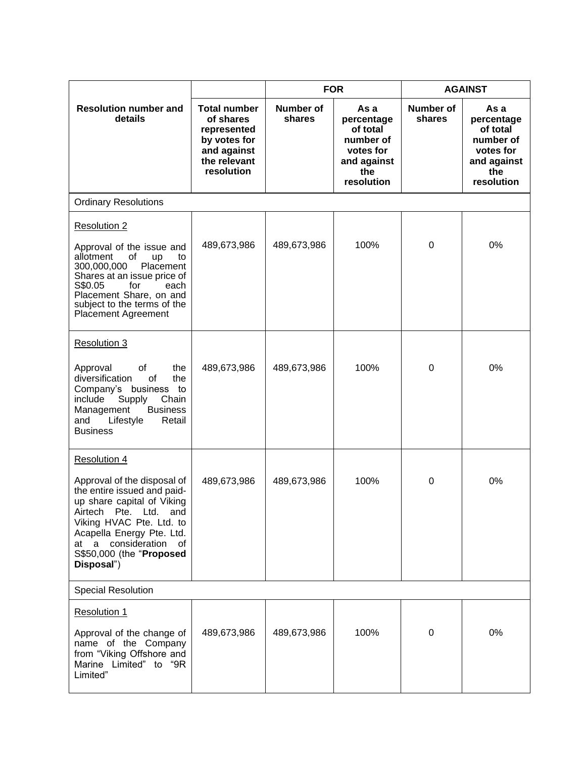|                                                                                                                                                                                                                                                                              |                                                                                                              | <b>FOR</b>          |                                                                                              | <b>AGAINST</b>      |                                                                                              |  |  |  |  |
|------------------------------------------------------------------------------------------------------------------------------------------------------------------------------------------------------------------------------------------------------------------------------|--------------------------------------------------------------------------------------------------------------|---------------------|----------------------------------------------------------------------------------------------|---------------------|----------------------------------------------------------------------------------------------|--|--|--|--|
| <b>Resolution number and</b><br>details                                                                                                                                                                                                                                      | <b>Total number</b><br>of shares<br>represented<br>by votes for<br>and against<br>the relevant<br>resolution | Number of<br>shares | As a<br>percentage<br>of total<br>number of<br>votes for<br>and against<br>the<br>resolution | Number of<br>shares | As a<br>percentage<br>of total<br>number of<br>votes for<br>and against<br>the<br>resolution |  |  |  |  |
| <b>Ordinary Resolutions</b>                                                                                                                                                                                                                                                  |                                                                                                              |                     |                                                                                              |                     |                                                                                              |  |  |  |  |
| <b>Resolution 2</b><br>Approval of the issue and<br>allotment<br>of<br>up<br>to<br>300,000,000<br>Placement<br>Shares at an issue price of<br>S\$0.05<br>for<br>each<br>Placement Share, on and<br>subject to the terms of the<br><b>Placement Agreement</b>                 | 489,673,986                                                                                                  | 489,673,986         | 100%                                                                                         | 0                   | 0%                                                                                           |  |  |  |  |
| <b>Resolution 3</b><br>Approval<br>of<br>the<br>diversification<br>οf<br>the<br>Company's business to<br>Supply<br>Chain<br>include<br>Management<br><b>Business</b><br>Lifestyle<br>and<br>Retail<br><b>Business</b>                                                        | 489,673,986                                                                                                  | 489,673,986         | 100%                                                                                         | 0                   | 0%                                                                                           |  |  |  |  |
| Resolution 4<br>Approval of the disposal of<br>the entire issued and paid-<br>up share capital of Viking<br>Airtech<br>Pte.<br>Ltd.<br>and<br>Viking HVAC Pte. Ltd. to<br>Acapella Energy Pte. Ltd.<br>consideration<br>of<br>at a<br>S\$50,000 (the "Proposed<br>Disposal") | 489,673,986                                                                                                  | 489,673,986         | 100%                                                                                         | 0                   | 0%                                                                                           |  |  |  |  |
| <b>Special Resolution</b>                                                                                                                                                                                                                                                    |                                                                                                              |                     |                                                                                              |                     |                                                                                              |  |  |  |  |
| <b>Resolution 1</b><br>Approval of the change of<br>name of the Company<br>from "Viking Offshore and<br>Marine Limited" to "9R<br>Limited"                                                                                                                                   | 489,673,986                                                                                                  | 489,673,986         | 100%                                                                                         | 0                   | 0%                                                                                           |  |  |  |  |